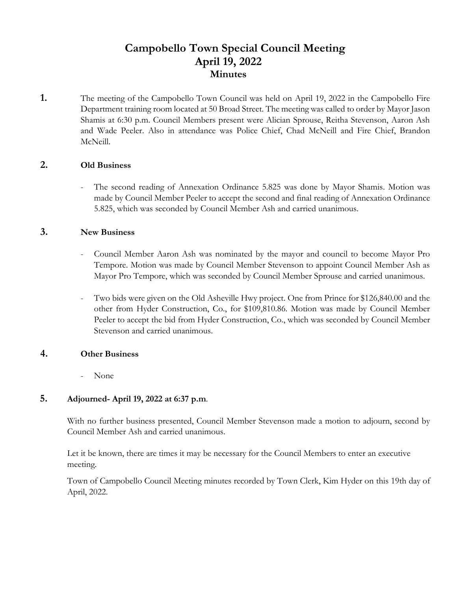# **Campobello Town Special Council Meeting April 19, 2022 Minutes**

**1.** The meeting of the Campobello Town Council was held on April 19, 2022 in the Campobello Fire Department training room located at 50 Broad Street. The meeting was called to order by Mayor Jason Shamis at 6:30 p.m. Council Members present were Alician Sprouse, Reitha Stevenson, Aaron Ash and Wade Peeler. Also in attendance was Police Chief, Chad McNeill and Fire Chief, Brandon McNeill.

## **2. Old Business**

The second reading of Annexation Ordinance 5.825 was done by Mayor Shamis. Motion was made by Council Member Peeler to accept the second and final reading of Annexation Ordinance 5.825, which was seconded by Council Member Ash and carried unanimous.

#### **3. New Business**

- Council Member Aaron Ash was nominated by the mayor and council to become Mayor Pro Tempore. Motion was made by Council Member Stevenson to appoint Council Member Ash as Mayor Pro Tempore, which was seconded by Council Member Sprouse and carried unanimous.
- Two bids were given on the Old Asheville Hwy project. One from Prince for \$126,840.00 and the other from Hyder Construction, Co., for \$109,810.86. Motion was made by Council Member Peeler to accept the bid from Hyder Construction, Co., which was seconded by Council Member Stevenson and carried unanimous.

#### **4. Other Business**

- None

## **5. Adjourned- April 19, 2022 at 6:37 p.m**.

With no further business presented, Council Member Stevenson made a motion to adjourn, second by Council Member Ash and carried unanimous.

 Let it be known, there are times it may be necessary for the Council Members to enter an executive meeting.

 Town of Campobello Council Meeting minutes recorded by Town Clerk, Kim Hyder on this 19th day of April, 2022.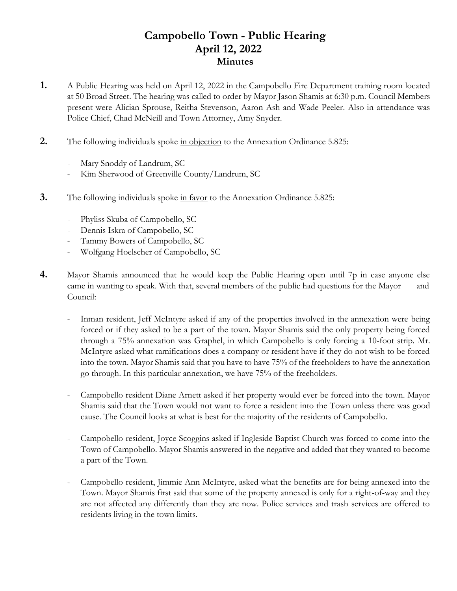# **Campobello Town - Public Hearing April 12, 2022 Minutes**

- **1.** A Public Hearing was held on April 12, 2022 in the Campobello Fire Department training room located at 50 Broad Street. The hearing was called to order by Mayor Jason Shamis at 6:30 p.m. Council Members present were Alician Sprouse, Reitha Stevenson, Aaron Ash and Wade Peeler. Also in attendance was Police Chief, Chad McNeill and Town Attorney, Amy Snyder.
- **2.** The following individuals spoke in objection to the Annexation Ordinance 5.825:
	- Mary Snoddy of Landrum, SC
	- Kim Sherwood of Greenville County/Landrum, SC
- **3.** The following individuals spoke in favor to the Annexation Ordinance 5.825:
	- Phyliss Skuba of Campobello, SC
	- Dennis Iskra of Campobello, SC
	- Tammy Bowers of Campobello, SC
	- Wolfgang Hoelscher of Campobello, SC
- **4.** Mayor Shamis announced that he would keep the Public Hearing open until 7p in case anyone else came in wanting to speak. With that, several members of the public had questions for the Mayor and Council:
	- Inman resident, Jeff McIntyre asked if any of the properties involved in the annexation were being forced or if they asked to be a part of the town. Mayor Shamis said the only property being forced through a 75% annexation was Graphel, in which Campobello is only forcing a 10-foot strip. Mr. McIntyre asked what ramifications does a company or resident have if they do not wish to be forced into the town. Mayor Shamis said that you have to have 75% of the freeholders to have the annexation go through. In this particular annexation, we have 75% of the freeholders.
	- Campobello resident Diane Arnett asked if her property would ever be forced into the town. Mayor Shamis said that the Town would not want to force a resident into the Town unless there was good cause. The Council looks at what is best for the majority of the residents of Campobello.
	- Campobello resident, Joyce Scoggins asked if Ingleside Baptist Church was forced to come into the Town of Campobello. Mayor Shamis answered in the negative and added that they wanted to become a part of the Town.
	- Campobello resident, Jimmie Ann McIntyre, asked what the benefits are for being annexed into the Town. Mayor Shamis first said that some of the property annexed is only for a right-of-way and they are not affected any differently than they are now. Police services and trash services are offered to residents living in the town limits.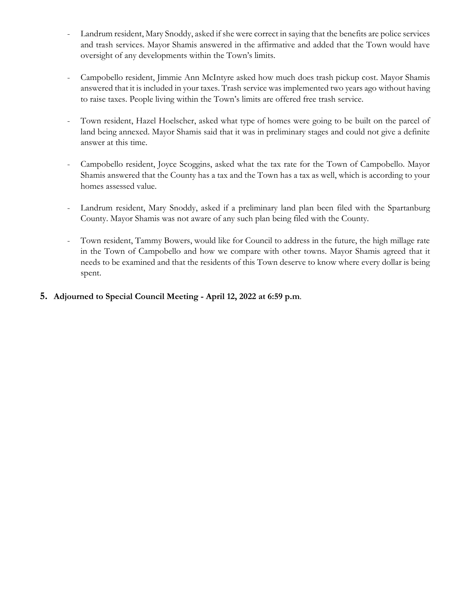- Landrum resident, Mary Snoddy, asked if she were correct in saying that the benefits are police services and trash services. Mayor Shamis answered in the affirmative and added that the Town would have oversight of any developments within the Town's limits.
- Campobello resident, Jimmie Ann McIntyre asked how much does trash pickup cost. Mayor Shamis answered that it is included in your taxes. Trash service was implemented two years ago without having to raise taxes. People living within the Town's limits are offered free trash service.
- Town resident, Hazel Hoelscher, asked what type of homes were going to be built on the parcel of land being annexed. Mayor Shamis said that it was in preliminary stages and could not give a definite answer at this time.
- Campobello resident, Joyce Scoggins, asked what the tax rate for the Town of Campobello. Mayor Shamis answered that the County has a tax and the Town has a tax as well, which is according to your homes assessed value.
- Landrum resident, Mary Snoddy, asked if a preliminary land plan been filed with the Spartanburg County. Mayor Shamis was not aware of any such plan being filed with the County.
- Town resident, Tammy Bowers, would like for Council to address in the future, the high millage rate in the Town of Campobello and how we compare with other towns. Mayor Shamis agreed that it needs to be examined and that the residents of this Town deserve to know where every dollar is being spent.
- **5. Adjourned to Special Council Meeting - April 12, 2022 at 6:59 p.m**.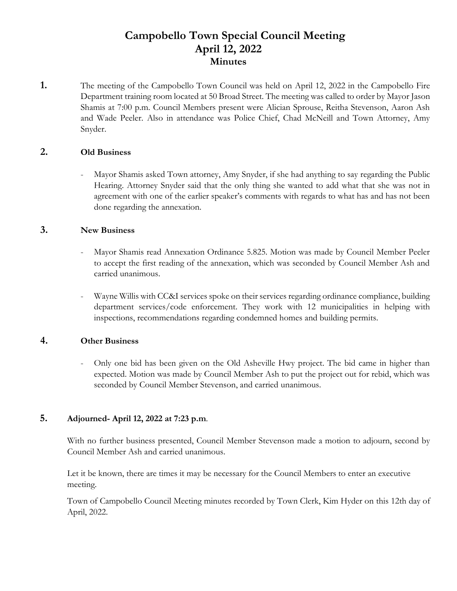# **Campobello Town Special Council Meeting April 12, 2022 Minutes**

**1.** The meeting of the Campobello Town Council was held on April 12, 2022 in the Campobello Fire Department training room located at 50 Broad Street. The meeting was called to order by Mayor Jason Shamis at 7:00 p.m. Council Members present were Alician Sprouse, Reitha Stevenson, Aaron Ash and Wade Peeler. Also in attendance was Police Chief, Chad McNeill and Town Attorney, Amy Snyder.

## **2. Old Business**

- Mayor Shamis asked Town attorney, Amy Snyder, if she had anything to say regarding the Public Hearing. Attorney Snyder said that the only thing she wanted to add what that she was not in agreement with one of the earlier speaker's comments with regards to what has and has not been done regarding the annexation.

#### **3. New Business**

- Mayor Shamis read Annexation Ordinance 5.825. Motion was made by Council Member Peeler to accept the first reading of the annexation, which was seconded by Council Member Ash and carried unanimous.
- Wayne Willis with CC&I services spoke on their services regarding ordinance compliance, building department services/code enforcement. They work with 12 municipalities in helping with inspections, recommendations regarding condemned homes and building permits.

## **4. Other Business**

- Only one bid has been given on the Old Asheville Hwy project. The bid came in higher than expected. Motion was made by Council Member Ash to put the project out for rebid, which was seconded by Council Member Stevenson, and carried unanimous.

## **5. Adjourned- April 12, 2022 at 7:23 p.m**.

With no further business presented, Council Member Stevenson made a motion to adjourn, second by Council Member Ash and carried unanimous.

 Let it be known, there are times it may be necessary for the Council Members to enter an executive meeting.

 Town of Campobello Council Meeting minutes recorded by Town Clerk, Kim Hyder on this 12th day of April, 2022.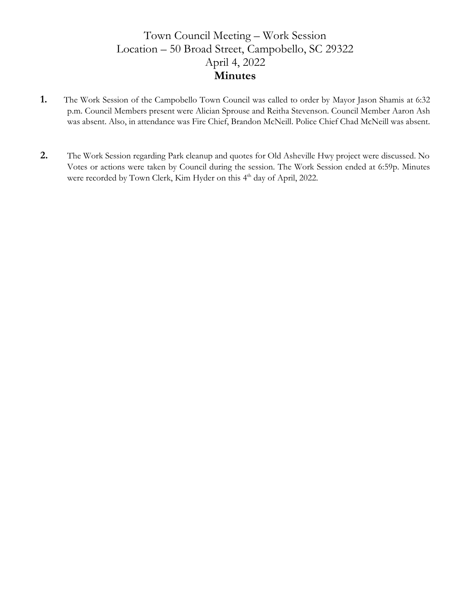# Town Council Meeting – Work Session Location – 50 Broad Street, Campobello, SC 29322 April 4, 2022 **Minutes**

- **1.** The Work Session of the Campobello Town Council was called to order by Mayor Jason Shamis at 6:32 p.m. Council Members present were Alician Sprouse and Reitha Stevenson. Council Member Aaron Ash was absent. Also, in attendance was Fire Chief, Brandon McNeill. Police Chief Chad McNeill was absent.
- **2.** The Work Session regarding Park cleanup and quotes for Old Asheville Hwy project were discussed. No Votes or actions were taken by Council during the session. The Work Session ended at 6:59p. Minutes were recorded by Town Clerk, Kim Hyder on this 4<sup>th</sup> day of April, 2022.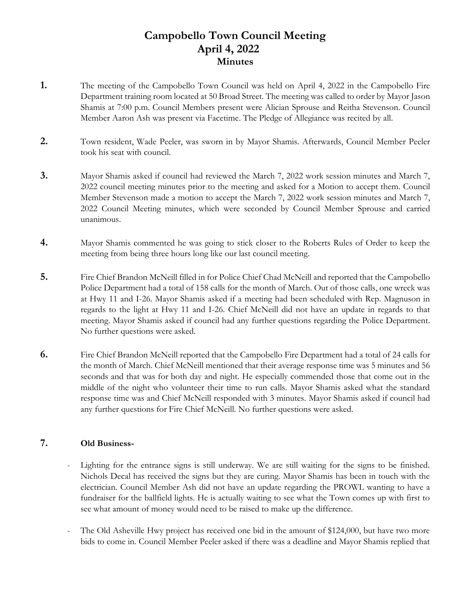# **Campobello Town Council Meeting April 4, 2022 Minutes**

- **1.** The meeting of the Campobello Town Council was held on April 4, 2022 in the Campobello Fire Department training room located at 50 Broad Street. The meeting was called to order by Mayor Jason Shamis at 7:00 p.m. Council Members present were Alician Sprouse and Reitha Stevenson. Council Member Aaron Ash was present via Facetime. The Pledge of Allegiance was recited by all.
- **2.** Town resident, Wade Peeler, was sworn in by Mayor Shamis. Afterwards, Council Member Peeler took his seat with council.
- **3.** Mayor Shamis asked if council had reviewed the March 7, 2022 work session minutes and March 7, 2022 council meeting minutes prior to the meeting and asked for a Motion to accept them. Council Member Stevenson made a motion to accept the March 7, 2022 work session minutes and March 7, 2022 Council Meeting minutes, which were seconded by Council Member Sprouse and carried unanimous.
- **4.** Mayor Shamis commented he was going to stick closer to the Roberts Rules of Order to keep the meeting from being three hours long like our last council meeting.
- **5.** Fire Chief Brandon McNeill filled in for Police Chief Chad McNeill and reported that the Campobello Police Department had a total of 158 calls for the month of March. Out of those calls, one wreck was at Hwy 11 and I-26. Mayor Shamis asked if a meeting had been scheduled with Rep. Magnuson in regards to the light at Hwy 11 and I-26. Chief McNeill did not have an update in regards to that meeting. Mayor Shamis asked if council had any further questions regarding the Police Department. No further questions were asked.
- **6.** Fire Chief Brandon McNeill reported that the Campobello Fire Department had a total of 24 calls for the month of March. Chief McNeill mentioned that their average response time was 5 minutes and 56 seconds and that was for both day and night. He especially commended those that come out in the middle of the night who volunteer their time to run calls. Mayor Shamis asked what the standard response time was and Chief McNeill responded with 3 minutes. Mayor Shamis asked if council had any further questions for Fire Chief McNeill. No further questions were asked.

## **7. Old Business-**

- Lighting for the entrance signs is still underway. We are still waiting for the signs to be finished. Nichols Decal has received the signs but they are curing. Mayor Shamis has been in touch with the electrician. Council Member Ash did not have an update regarding the PROWL wanting to have a fundraiser for the ballfield lights. He is actually waiting to see what the Town comes up with first to see what amount of money would need to be raised to make up the difference.
- The Old Asheville Hwy project has received one bid in the amount of \$124,000, but have two more bids to come in. Council Member Peeler asked if there was a deadline and Mayor Shamis replied that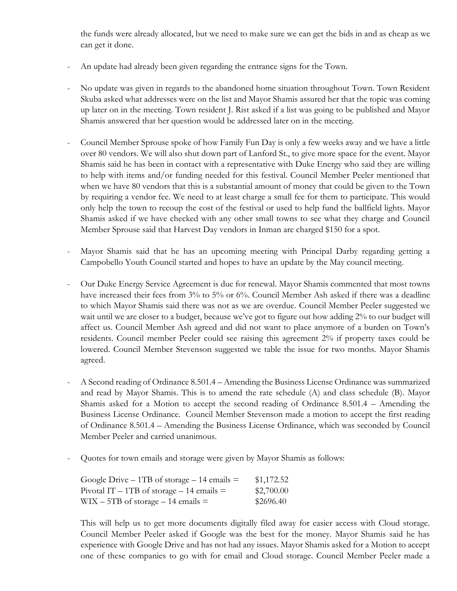the funds were already allocated, but we need to make sure we can get the bids in and as cheap as we can get it done.

- An update had already been given regarding the entrance signs for the Town.
- No update was given in regards to the abandoned home situation throughout Town. Town Resident Skuba asked what addresses were on the list and Mayor Shamis assured her that the topic was coming up later on in the meeting. Town resident J. Rist asked if a list was going to be published and Mayor Shamis answered that her question would be addressed later on in the meeting.
- Council Member Sprouse spoke of how Family Fun Day is only a few weeks away and we have a little over 80 vendors. We will also shut down part of Lanford St., to give more space for the event. Mayor Shamis said he has been in contact with a representative with Duke Energy who said they are willing to help with items and/or funding needed for this festival. Council Member Peeler mentioned that when we have 80 vendors that this is a substantial amount of money that could be given to the Town by requiring a vendor fee. We need to at least charge a small fee for them to participate. This would only help the town to recoup the cost of the festival or used to help fund the ballfield lights. Mayor Shamis asked if we have checked with any other small towns to see what they charge and Council Member Sprouse said that Harvest Day vendors in Inman are charged \$150 for a spot.
- Mayor Shamis said that he has an upcoming meeting with Principal Darby regarding getting a Campobello Youth Council started and hopes to have an update by the May council meeting.
- Our Duke Energy Service Agreement is due for renewal. Mayor Shamis commented that most towns have increased their fees from 3% to 5% or 6%. Council Member Ash asked if there was a deadline to which Mayor Shamis said there was not as we are overdue. Council Member Peeler suggested we wait until we are closer to a budget, because we've got to figure out how adding 2% to our budget will affect us. Council Member Ash agreed and did not want to place anymore of a burden on Town's residents. Council member Peeler could see raising this agreement 2% if property taxes could be lowered. Council Member Stevenson suggested we table the issue for two months. Mayor Shamis agreed.
- A Second reading of Ordinance 8.501.4 Amending the Business License Ordinance was summarized and read by Mayor Shamis. This is to amend the rate schedule (A) and class schedule (B). Mayor Shamis asked for a Motion to accept the second reading of Ordinance 8.501.4 – Amending the Business License Ordinance. Council Member Stevenson made a motion to accept the first reading of Ordinance 8.501.4 – Amending the Business License Ordinance, which was seconded by Council Member Peeler and carried unanimous.
- Quotes for town emails and storage were given by Mayor Shamis as follows:

| Google Drive – 1TB of storage – 14 emails $=$ | \$1,172.52 |
|-----------------------------------------------|------------|
| Pivotal IT – 1TB of storage – 14 emails $=$   | \$2,700.00 |
| $WIX - 5TB$ of storage $- 14$ emails $=$      | \$2696.40  |

This will help us to get more documents digitally filed away for easier access with Cloud storage. Council Member Peeler asked if Google was the best for the money. Mayor Shamis said he has experience with Google Drive and has not had any issues. Mayor Shamis asked for a Motion to accept one of these companies to go with for email and Cloud storage. Council Member Peeler made a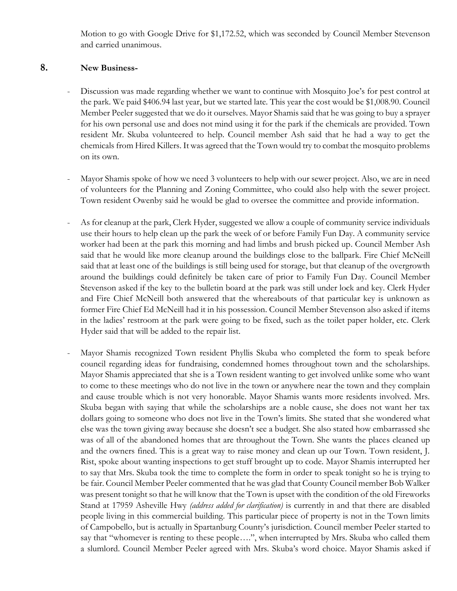Motion to go with Google Drive for \$1,172.52, which was seconded by Council Member Stevenson and carried unanimous.

#### **8. New Business-**

- Discussion was made regarding whether we want to continue with Mosquito Joe's for pest control at the park. We paid \$406.94 last year, but we started late. This year the cost would be \$1,008.90. Council Member Peeler suggested that we do it ourselves. Mayor Shamis said that he was going to buy a sprayer for his own personal use and does not mind using it for the park if the chemicals are provided. Town resident Mr. Skuba volunteered to help. Council member Ash said that he had a way to get the chemicals from Hired Killers. It was agreed that the Town would try to combat the mosquito problems on its own.
- Mayor Shamis spoke of how we need 3 volunteers to help with our sewer project. Also, we are in need of volunteers for the Planning and Zoning Committee, who could also help with the sewer project. Town resident Owenby said he would be glad to oversee the committee and provide information.
- As for cleanup at the park, Clerk Hyder, suggested we allow a couple of community service individuals use their hours to help clean up the park the week of or before Family Fun Day. A community service worker had been at the park this morning and had limbs and brush picked up. Council Member Ash said that he would like more cleanup around the buildings close to the ballpark. Fire Chief McNeill said that at least one of the buildings is still being used for storage, but that cleanup of the overgrowth around the buildings could definitely be taken care of prior to Family Fun Day. Council Member Stevenson asked if the key to the bulletin board at the park was still under lock and key. Clerk Hyder and Fire Chief McNeill both answered that the whereabouts of that particular key is unknown as former Fire Chief Ed McNeill had it in his possession. Council Member Stevenson also asked if items in the ladies' restroom at the park were going to be fixed, such as the toilet paper holder, etc. Clerk Hyder said that will be added to the repair list.
- Mayor Shamis recognized Town resident Phyllis Skuba who completed the form to speak before council regarding ideas for fundraising, condemned homes throughout town and the scholarships. Mayor Shamis appreciated that she is a Town resident wanting to get involved unlike some who want to come to these meetings who do not live in the town or anywhere near the town and they complain and cause trouble which is not very honorable. Mayor Shamis wants more residents involved. Mrs. Skuba began with saying that while the scholarships are a noble cause, she does not want her tax dollars going to someone who does not live in the Town's limits. She stated that she wondered what else was the town giving away because she doesn't see a budget. She also stated how embarrassed she was of all of the abandoned homes that are throughout the Town. She wants the places cleaned up and the owners fined. This is a great way to raise money and clean up our Town. Town resident, J. Rist, spoke about wanting inspections to get stuff brought up to code. Mayor Shamis interrupted her to say that Mrs. Skuba took the time to complete the form in order to speak tonight so he is trying to be fair. Council Member Peeler commented that he was glad that County Council member Bob Walker was present tonight so that he will know that the Town is upset with the condition of the old Fireworks Stand at 17959 Asheville Hwy *(address added for clarification)* is currently in and that there are disabled people living in this commercial building. This particular piece of property is not in the Town limits of Campobello, but is actually in Spartanburg County's jurisdiction. Council member Peeler started to say that "whomever is renting to these people….", when interrupted by Mrs. Skuba who called them a slumlord. Council Member Peeler agreed with Mrs. Skuba's word choice. Mayor Shamis asked if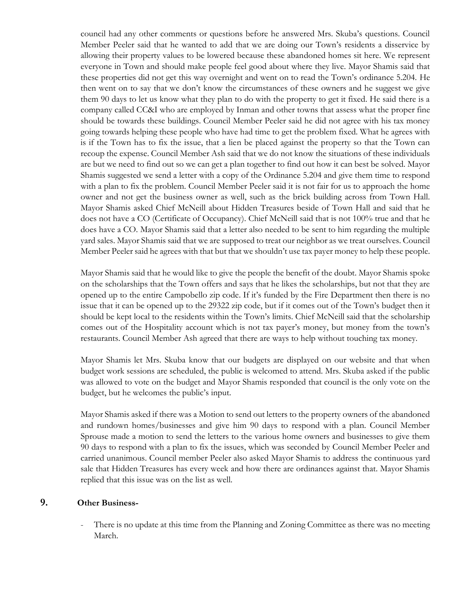council had any other comments or questions before he answered Mrs. Skuba's questions. Council Member Peeler said that he wanted to add that we are doing our Town's residents a disservice by allowing their property values to be lowered because these abandoned homes sit here. We represent everyone in Town and should make people feel good about where they live. Mayor Shamis said that these properties did not get this way overnight and went on to read the Town's ordinance 5.204. He then went on to say that we don't know the circumstances of these owners and he suggest we give them 90 days to let us know what they plan to do with the property to get it fixed. He said there is a company called CC&I who are employed by Inman and other towns that assess what the proper fine should be towards these buildings. Council Member Peeler said he did not agree with his tax money going towards helping these people who have had time to get the problem fixed. What he agrees with is if the Town has to fix the issue, that a lien be placed against the property so that the Town can recoup the expense. Council Member Ash said that we do not know the situations of these individuals are but we need to find out so we can get a plan together to find out how it can best be solved. Mayor Shamis suggested we send a letter with a copy of the Ordinance 5.204 and give them time to respond with a plan to fix the problem. Council Member Peeler said it is not fair for us to approach the home owner and not get the business owner as well, such as the brick building across from Town Hall. Mayor Shamis asked Chief McNeill about Hidden Treasures beside of Town Hall and said that he does not have a CO (Certificate of Occupancy). Chief McNeill said that is not 100% true and that he does have a CO. Mayor Shamis said that a letter also needed to be sent to him regarding the multiple yard sales. Mayor Shamis said that we are supposed to treat our neighbor as we treat ourselves. Council Member Peeler said he agrees with that but that we shouldn't use tax payer money to help these people.

Mayor Shamis said that he would like to give the people the benefit of the doubt. Mayor Shamis spoke on the scholarships that the Town offers and says that he likes the scholarships, but not that they are opened up to the entire Campobello zip code. If it's funded by the Fire Department then there is no issue that it can be opened up to the 29322 zip code, but if it comes out of the Town's budget then it should be kept local to the residents within the Town's limits. Chief McNeill said that the scholarship comes out of the Hospitality account which is not tax payer's money, but money from the town's restaurants. Council Member Ash agreed that there are ways to help without touching tax money.

Mayor Shamis let Mrs. Skuba know that our budgets are displayed on our website and that when budget work sessions are scheduled, the public is welcomed to attend. Mrs. Skuba asked if the public was allowed to vote on the budget and Mayor Shamis responded that council is the only vote on the budget, but he welcomes the public's input.

Mayor Shamis asked if there was a Motion to send out letters to the property owners of the abandoned and rundown homes/businesses and give him 90 days to respond with a plan. Council Member Sprouse made a motion to send the letters to the various home owners and businesses to give them 90 days to respond with a plan to fix the issues, which was seconded by Council Member Peeler and carried unanimous. Council member Peeler also asked Mayor Shamis to address the continuous yard sale that Hidden Treasures has every week and how there are ordinances against that. Mayor Shamis replied that this issue was on the list as well.

## **9. Other Business-**

There is no update at this time from the Planning and Zoning Committee as there was no meeting March.